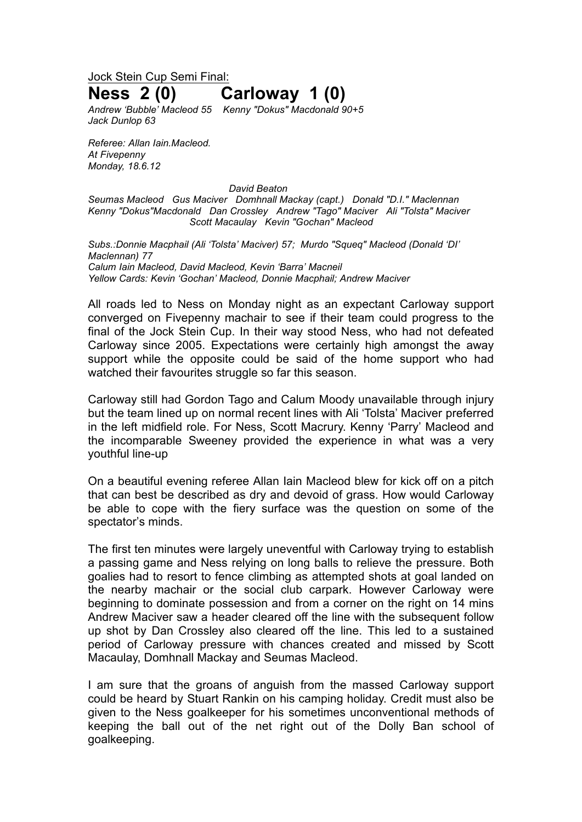Jock Stein Cup Semi Final:

## **Ness 2 (0) Carloway 1 (0)**

*Andrew 'Bubble' Macleod 55 Kenny "Dokus" Macdonald 90+5 Jack Dunlop 63*

*Referee: Allan Iain.Macleod. At Fivepenny Monday, 18.6.12*

*David Beaton*

*Seumas Macleod Gus Maciver Domhnall Mackay (capt.) Donald "D.I." Maclennan Kenny "Dokus"Macdonald Dan Crossley Andrew "Tago" Maciver Ali "Tolsta" Maciver Scott Macaulay Kevin "Gochan" Macleod*

*Subs.:Donnie Macphail (Ali 'Tolsta' Maciver) 57; Murdo "Squeq" Macleod (Donald 'DI' Maclennan) 77 Calum Iain Macleod, David Macleod, Kevin 'Barra' Macneil Yellow Cards: Kevin 'Gochan' Macleod, Donnie Macphail; Andrew Maciver*

All roads led to Ness on Monday night as an expectant Carloway support converged on Fivepenny machair to see if their team could progress to the final of the Jock Stein Cup. In their way stood Ness, who had not defeated Carloway since 2005. Expectations were certainly high amongst the away support while the opposite could be said of the home support who had watched their favourites struggle so far this season.

Carloway still had Gordon Tago and Calum Moody unavailable through injury but the team lined up on normal recent lines with Ali 'Tolsta' Maciver preferred in the left midfield role. For Ness, Scott Macrury. Kenny 'Parry' Macleod and the incomparable Sweeney provided the experience in what was a very youthful line-up

On a beautiful evening referee Allan Iain Macleod blew for kick off on a pitch that can best be described as dry and devoid of grass. How would Carloway be able to cope with the fiery surface was the question on some of the spectator's minds.

The first ten minutes were largely uneventful with Carloway trying to establish a passing game and Ness relying on long balls to relieve the pressure. Both goalies had to resort to fence climbing as attempted shots at goal landed on the nearby machair or the social club carpark. However Carloway were beginning to dominate possession and from a corner on the right on 14 mins Andrew Maciver saw a header cleared off the line with the subsequent follow up shot by Dan Crossley also cleared off the line. This led to a sustained period of Carloway pressure with chances created and missed by Scott Macaulay, Domhnall Mackay and Seumas Macleod.

I am sure that the groans of anguish from the massed Carloway support could be heard by Stuart Rankin on his camping holiday. Credit must also be given to the Ness goalkeeper for his sometimes unconventional methods of keeping the ball out of the net right out of the Dolly Ban school of goalkeeping.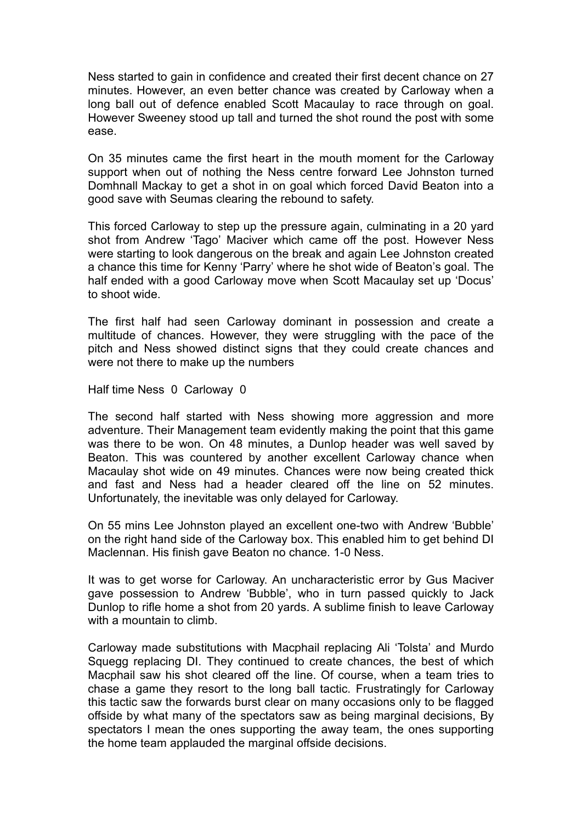Ness started to gain in confidence and created their first decent chance on 27 minutes. However, an even better chance was created by Carloway when a long ball out of defence enabled Scott Macaulay to race through on goal. However Sweeney stood up tall and turned the shot round the post with some ease.

On 35 minutes came the first heart in the mouth moment for the Carloway support when out of nothing the Ness centre forward Lee Johnston turned Domhnall Mackay to get a shot in on goal which forced David Beaton into a good save with Seumas clearing the rebound to safety.

This forced Carloway to step up the pressure again, culminating in a 20 yard shot from Andrew 'Tago' Maciver which came off the post. However Ness were starting to look dangerous on the break and again Lee Johnston created a chance this time for Kenny 'Parry' where he shot wide of Beaton's goal. The half ended with a good Carloway move when Scott Macaulay set up 'Docus' to shoot wide.

The first half had seen Carloway dominant in possession and create a multitude of chances. However, they were struggling with the pace of the pitch and Ness showed distinct signs that they could create chances and were not there to make up the numbers

Half time Ness 0 Carloway 0

The second half started with Ness showing more aggression and more adventure. Their Management team evidently making the point that this game was there to be won. On 48 minutes, a Dunlop header was well saved by Beaton. This was countered by another excellent Carloway chance when Macaulay shot wide on 49 minutes. Chances were now being created thick and fast and Ness had a header cleared off the line on 52 minutes. Unfortunately, the inevitable was only delayed for Carloway.

On 55 mins Lee Johnston played an excellent one-two with Andrew 'Bubble' on the right hand side of the Carloway box. This enabled him to get behind DI Maclennan. His finish gave Beaton no chance. 1-0 Ness.

It was to get worse for Carloway. An uncharacteristic error by Gus Maciver gave possession to Andrew 'Bubble', who in turn passed quickly to Jack Dunlop to rifle home a shot from 20 yards. A sublime finish to leave Carloway with a mountain to climb.

Carloway made substitutions with Macphail replacing Ali 'Tolsta' and Murdo Squegg replacing DI. They continued to create chances, the best of which Macphail saw his shot cleared off the line. Of course, when a team tries to chase a game they resort to the long ball tactic. Frustratingly for Carloway this tactic saw the forwards burst clear on many occasions only to be flagged offside by what many of the spectators saw as being marginal decisions, By spectators I mean the ones supporting the away team, the ones supporting the home team applauded the marginal offside decisions.